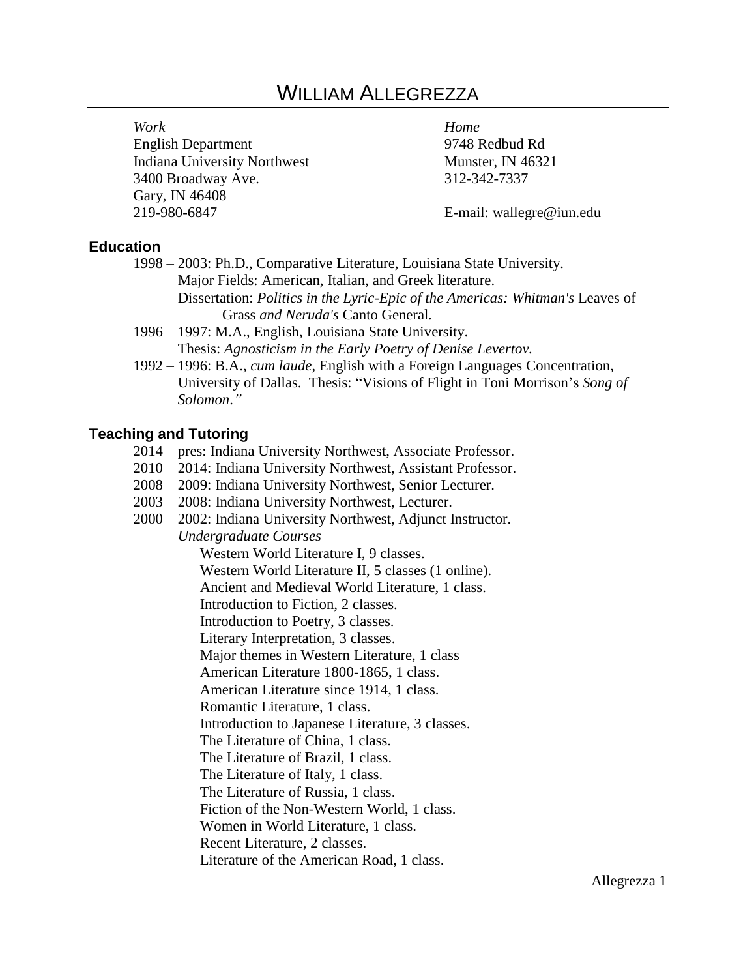# WILLIAM ALLEGREZZA

English Department 9748 Redbud Rd Indiana University Northwest Munster, IN 46321 3400 Broadway Ave. 312-342-7337 Gary, IN 46408 219-980-6847 E-mail: wallegre@iun.edu

*Work Home* 

#### **Education**

- 1998 2003: Ph.D., Comparative Literature, Louisiana State University. Major Fields: American, Italian, and Greek literature.
	- Dissertation: *Politics in the Lyric-Epic of the Americas: Whitman's* Leaves of Grass *and Neruda's* Canto General*.*
- 1996 1997: M.A., English, Louisiana State University. Thesis: *Agnosticism in the Early Poetry of Denise Levertov.*
- 1992 1996: B.A., *cum laude*, English with a Foreign Languages Concentration, University of Dallas. Thesis: "Visions of Flight in Toni Morrison's *Song of Solomon*.*"*

## **Teaching and Tutoring**

- 2014 pres: Indiana University Northwest, Associate Professor.
- 2010 2014: Indiana University Northwest, Assistant Professor.
- 2008 2009: Indiana University Northwest, Senior Lecturer.
- 2003 2008: Indiana University Northwest, Lecturer.
- 2000 2002: Indiana University Northwest, Adjunct Instructor.

*Undergraduate Courses* 

Western World Literature I, 9 classes.

Western World Literature II, 5 classes (1 online).

Ancient and Medieval World Literature, 1 class.

Introduction to Fiction, 2 classes.

Introduction to Poetry, 3 classes.

Literary Interpretation, 3 classes.

Major themes in Western Literature, 1 class

American Literature 1800-1865, 1 class.

American Literature since 1914, 1 class.

Romantic Literature, 1 class.

Introduction to Japanese Literature, 3 classes.

The Literature of China, 1 class.

The Literature of Brazil, 1 class.

The Literature of Italy, 1 class.

The Literature of Russia, 1 class.

Fiction of the Non-Western World, 1 class.

Women in World Literature, 1 class.

Recent Literature, 2 classes.

Literature of the American Road, 1 class.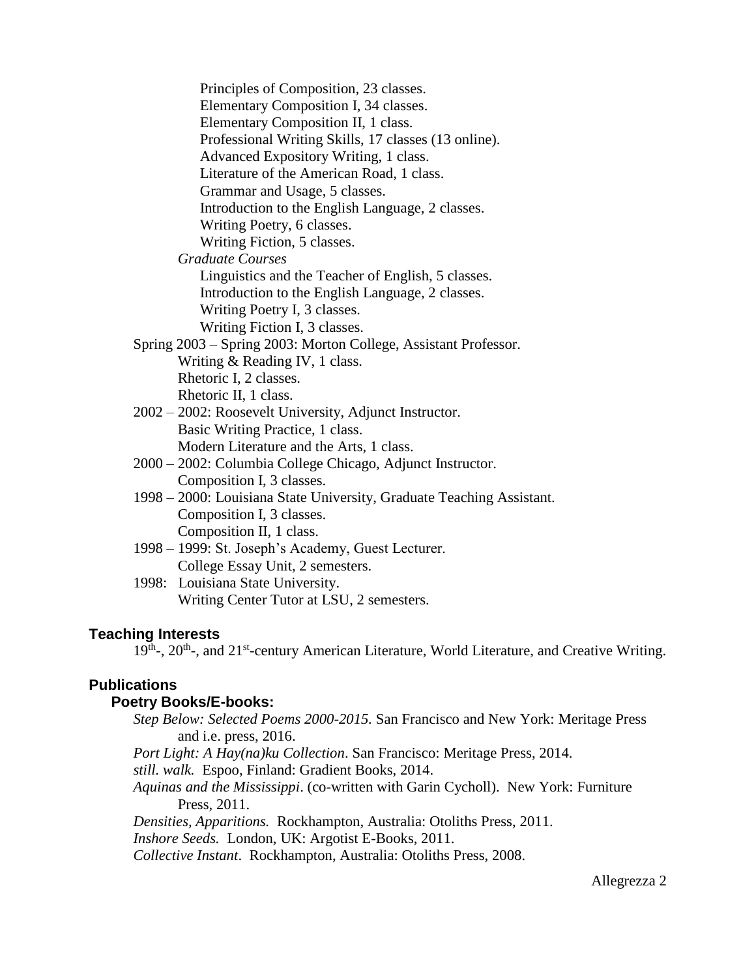Principles of Composition, 23 classes. Elementary Composition I, 34 classes. Elementary Composition II, 1 class. Professional Writing Skills, 17 classes (13 online). Advanced Expository Writing, 1 class. Literature of the American Road, 1 class. Grammar and Usage, 5 classes. Introduction to the English Language, 2 classes. Writing Poetry, 6 classes. Writing Fiction, 5 classes. *Graduate Courses* Linguistics and the Teacher of English, 5 classes. Introduction to the English Language, 2 classes. Writing Poetry I, 3 classes. Writing Fiction I, 3 classes. Spring 2003 – Spring 2003: Morton College, Assistant Professor. Writing & Reading IV, 1 class. Rhetoric I, 2 classes. Rhetoric II, 1 class. 2002 – 2002: Roosevelt University, Adjunct Instructor. Basic Writing Practice, 1 class. Modern Literature and the Arts, 1 class. 2000 – 2002: Columbia College Chicago, Adjunct Instructor. Composition I, 3 classes. 1998 – 2000: Louisiana State University, Graduate Teaching Assistant. Composition I, 3 classes. Composition II, 1 class. 1998 – 1999: St. Joseph's Academy, Guest Lecturer. College Essay Unit, 2 semesters. 1998: Louisiana State University. Writing Center Tutor at LSU, 2 semesters.

## **Teaching Interests**

19<sup>th</sup>-, 20<sup>th</sup>-, and 21<sup>st</sup>-century American Literature, World Literature, and Creative Writing.

## **Publications**

## **Poetry Books/E-books:**

*Step Below: Selected Poems 2000-2015.* San Francisco and New York: Meritage Press and i.e. press, 2016.

*Port Light: A Hay(na)ku Collection*. San Francisco: Meritage Press, 2014.

*still. walk.* Espoo, Finland: Gradient Books, 2014.

*Aquinas and the Mississippi*. (co-written with Garin Cycholl). New York: Furniture Press, 2011.

*Densities, Apparitions.* Rockhampton, Australia: Otoliths Press, 2011.

*Inshore Seeds.* London, UK: Argotist E-Books, 2011.

*Collective Instant*. Rockhampton, Australia: Otoliths Press, 2008.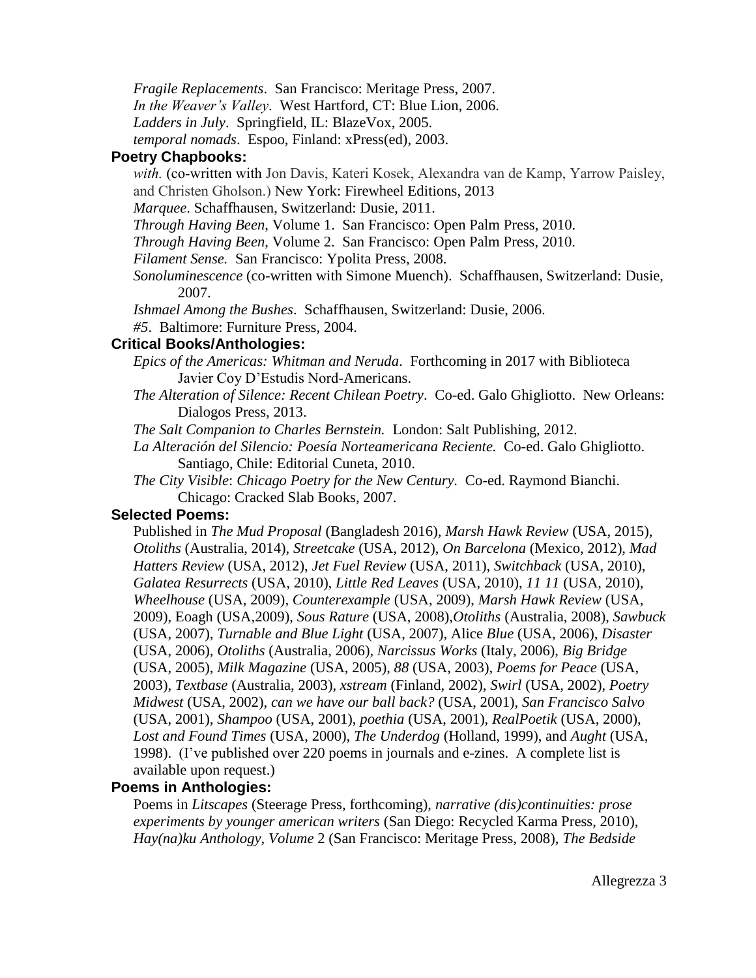*Fragile Replacements*. San Francisco: Meritage Press, 2007.

*In the Weaver's Valley*. West Hartford, CT: Blue Lion, 2006.

*Ladders in July*.Springfield, IL: BlazeVox, 2005.

*temporal nomads*. Espoo, Finland: xPress(ed), 2003.

## **Poetry Chapbooks:**

*with.* (co-written with Jon Davis, Kateri Kosek, Alexandra van de Kamp, Yarrow Paisley, and Christen Gholson.) New York: Firewheel Editions, 2013

*Marquee*. Schaffhausen, Switzerland: Dusie, 2011.

*Through Having Been*, Volume 1. San Francisco: Open Palm Press, 2010.

*Through Having Been*, Volume 2. San Francisco: Open Palm Press, 2010.

*Filament Sense.* San Francisco: Ypolita Press, 2008.

*Sonoluminescence* (co-written with Simone Muench). Schaffhausen, Switzerland: Dusie, 2007.

*Ishmael Among the Bushes*. Schaffhausen, Switzerland: Dusie, 2006.

*#5*. Baltimore: Furniture Press, 2004.

## **Critical Books/Anthologies:**

- *Epics of the Americas: Whitman and Neruda*. Forthcoming in 2017 with Biblioteca Javier Coy D'Estudis Nord-Americans.
- *The Alteration of Silence: Recent Chilean Poetry*. Co-ed. Galo Ghigliotto. New Orleans: Dialogos Press, 2013.

*The Salt Companion to Charles Bernstein.* London: Salt Publishing, 2012.

- *La Alteración del Silencio: Poesía Norteamericana Reciente.* Co-ed. Galo Ghigliotto. Santiago, Chile: Editorial Cuneta, 2010.
- *The City Visible*: *Chicago Poetry for the New Century.* Co-ed. Raymond Bianchi. Chicago: Cracked Slab Books, 2007.

# **Selected Poems:**

Published in *The Mud Proposal* (Bangladesh 2016), *Marsh Hawk Review* (USA, 2015), *Otoliths* (Australia, 2014), *Streetcake* (USA, 2012), *On Barcelona* (Mexico, 2012), *Mad Hatters Review* (USA, 2012), *Jet Fuel Review* (USA, 2011), *Switchback* (USA, 2010), *Galatea Resurrects* (USA, 2010), *Little Red Leaves* (USA, 2010), *11 11* (USA, 2010), *Wheelhouse* (USA, 2009), *Counterexample* (USA, 2009), *Marsh Hawk Review* (USA, 2009), Eoagh (USA,2009), *Sous Rature* (USA, 2008),*Otoliths* (Australia, 2008), *Sawbuck* (USA, 2007), *Turnable and Blue Light* (USA, 2007), Alice *Blue* (USA, 2006), *Disaster* (USA, 2006), *Otoliths* (Australia, 2006), *Narcissus Works* (Italy, 2006), *Big Bridge*  (USA, 2005), *Milk Magazine* (USA, 2005), *88* (USA, 2003), *Poems for Peace* (USA, 2003), *Textbase* (Australia, 2003), *xstream* (Finland, 2002), *Swirl* (USA, 2002), *Poetry Midwest* (USA, 2002), *can we have our ball back?* (USA, 2001), *San Francisco Salvo* (USA, 2001), *Shampoo* (USA, 2001), *poethia* (USA, 2001), *RealPoetik* (USA, 2000), *Lost and Found Times* (USA, 2000), *The Underdog* (Holland, 1999), and *Aught* (USA, 1998). (I've published over 220 poems in journals and e-zines. A complete list is available upon request.)

# **Poems in Anthologies:**

Poems in *Litscapes* (Steerage Press, forthcoming), *narrative (dis)continuities: prose experiments by younger american writers* (San Diego: Recycled Karma Press, 2010), *Hay(na)ku Anthology, Volume* 2 (San Francisco: Meritage Press, 2008), *The Bedside*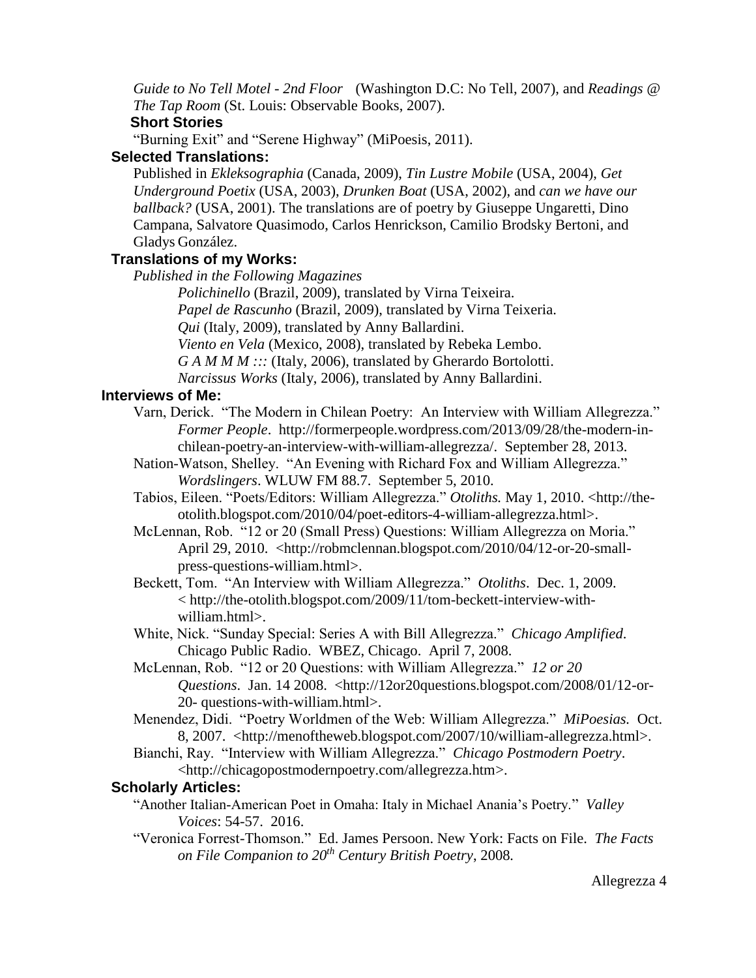*Guide to No Tell Motel - 2nd Floor* (Washington D.C: No Tell, 2007), and *Readings @ The Tap Room* (St. Louis: Observable Books, 2007).

# **Short Stories**

"Burning Exit" and "Serene Highway" (MiPoesis, 2011).

# **Selected Translations:**

Published in *Ekleksographia* (Canada, 2009), *Tin Lustre Mobile* (USA, 2004), *Get Underground Poetix* (USA, 2003), *Drunken Boat* (USA, 2002), and *can we have our ballback?* (USA, 2001). The translations are of poetry by Giuseppe Ungaretti, Dino Campana, Salvatore Quasimodo, Carlos Henrickson, Camilio Brodsky Bertoni, and Gladys González.

# **Translations of my Works:**

*Published in the Following Magazines*

*Polichinello* (Brazil, 2009), translated by Virna Teixeira.

*Papel de Rascunho* (Brazil, 2009), translated by Virna Teixeria.

*Qui* (Italy, 2009), translated by Anny Ballardini.

*Viento en Vela* (Mexico, 2008), translated by Rebeka Lembo.

*G A M M M :::* (Italy, 2006), translated by Gherardo Bortolotti.

*Narcissus Works* (Italy, 2006)*,* translated by Anny Ballardini.

# **Interviews of Me:**

- Varn, Derick. "The Modern in Chilean Poetry: An Interview with William Allegrezza." *Former People*. http://formerpeople.wordpress.com/2013/09/28/the-modern-inchilean-poetry-an-interview-with-william-allegrezza/. September 28, 2013.
- Nation-Watson, Shelley. "An Evening with Richard Fox and William Allegrezza." *Wordslingers*. WLUW FM 88.7. September 5, 2010.
- Tabios, Eileen. "Poets/Editors: William Allegrezza." *Otoliths.* May 1, 2010. <http://theotolith.blogspot.com/2010/04/poet-editors-4-william-allegrezza.html>.
- McLennan, Rob. "12 or 20 (Small Press) Questions: William Allegrezza on Moria." April 29, 2010. <http://robmclennan.blogspot.com/2010/04/12-or-20-smallpress-questions-william.html>.
- Beckett, Tom. "An Interview with William Allegrezza." *Otoliths*. Dec. 1, 2009. < http://the-otolith.blogspot.com/2009/11/tom-beckett-interview-withwilliam.html>.
- White, Nick. "Sunday Special: Series A with Bill Allegrezza." *Chicago Amplified*. Chicago Public Radio. WBEZ, Chicago. April 7, 2008.
- McLennan, Rob. "12 or 20 Questions: with William Allegrezza." *12 or 20 Questions*. Jan. 14 2008. <http://12or20questions.blogspot.com/2008/01/12-or-20- questions-with-william.html>.
- Menendez, Didi. "Poetry Worldmen of the Web: William Allegrezza." *MiPoesias.* Oct. 8, 2007. <http://menoftheweb.blogspot.com/2007/10/william-allegrezza.html>.
- Bianchi, Ray. "Interview with William Allegrezza." *Chicago Postmodern Poetry*. <http://chicagopostmodernpoetry.com/allegrezza.htm>.

# **Scholarly Articles:**

- "Another Italian-American Poet in Omaha: Italy in Michael Anania's Poetry." *Valley Voices*: 54-57. 2016.
- "Veronica Forrest-Thomson." Ed. James Persoon. New York: Facts on File. *The Facts on File Companion to 20th Century British Poetry*, 2008*.*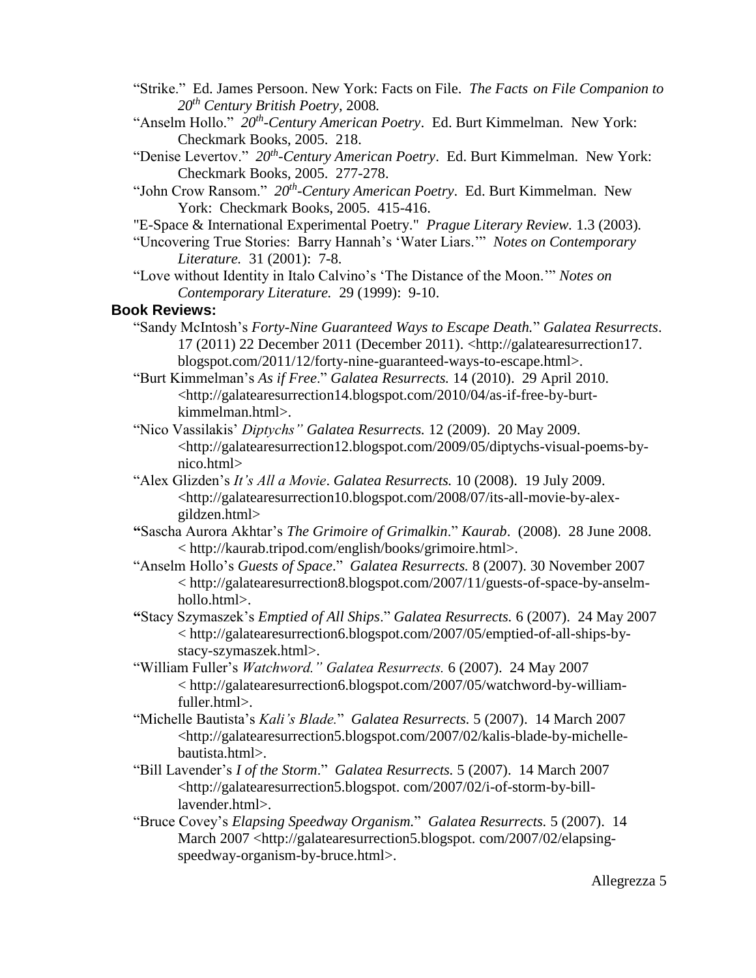- "Strike." Ed. James Persoon. New York: Facts on File. *The Facts on File Companion to 20th Century British Poetry*, 2008*.*
- "Anselm Hollo." *20th -Century American Poetry*. Ed. Burt Kimmelman. New York: Checkmark Books, 2005. 218.
- "Denise Levertov." *20th -Century American Poetry*. Ed. Burt Kimmelman. New York: Checkmark Books, 2005. 277-278.
- "John Crow Ransom." *20th -Century American Poetry*. Ed. Burt Kimmelman. New York: Checkmark Books, 2005. 415-416.
- "E-Space & International Experimental Poetry." *Prague Literary Review.* 1.3 (2003)*.*
- "Uncovering True Stories: Barry Hannah's 'Water Liars.'" *Notes on Contemporary Literature.* 31 (2001): 7-8.
- "Love without Identity in Italo Calvino's 'The Distance of the Moon.'" *Notes on Contemporary Literature.* 29 (1999): 9-10.

#### **Book Reviews:**

- "Sandy McIntosh's *Forty-Nine Guaranteed Ways to Escape Death.*" *Galatea Resurrects*. 17 (2011) 22 December 2011 (December 2011). <http://galatearesurrection17. blogspot.com/2011/12/forty-nine-guaranteed-ways-to-escape.html>.
- "Burt Kimmelman's *As if Free*." *Galatea Resurrects.* 14 (2010). 29 April 2010. <http://galatearesurrection14.blogspot.com/2010/04/as-if-free-by-burtkimmelman.html>.
- "Nico Vassilakis' *Diptychs" Galatea Resurrects.* 12 (2009). 20 May 2009. <http://galatearesurrection12.blogspot.com/2009/05/diptychs-visual-poems-bynico.html>
- "Alex Glizden's *It's All a Movie*. *Galatea Resurrects.* 10 (2008). 19 July 2009. <http://galatearesurrection10.blogspot.com/2008/07/its-all-movie-by-alexgildzen.html>
- **"**Sascha Aurora Akhtar's *The Grimoire of Grimalkin*." *Kaurab*. (2008). 28 June 2008. < http://kaurab.tripod.com/english/books/grimoire.html>.
- "Anselm Hollo's *Guests of Space*." *Galatea Resurrects.* 8 (2007). 30 November 2007 < http://galatearesurrection8.blogspot.com/2007/11/guests-of-space-by-anselmhollo.html>.
- **"**Stacy Szymaszek's *Emptied of All Ships*." *Galatea Resurrects.* 6 (2007). 24 May 2007 < http://galatearesurrection6.blogspot.com/2007/05/emptied-of-all-ships-bystacy-szymaszek.html>.
- "William Fuller's *Watchword." Galatea Resurrects.* 6 (2007). 24 May 2007 < http://galatearesurrection6.blogspot.com/2007/05/watchword-by-williamfuller.html>.
- "Michelle Bautista's *Kali's Blade.*" *Galatea Resurrects.* 5 (2007). 14 March 2007 <http://galatearesurrection5.blogspot.com/2007/02/kalis-blade-by-michellebautista.html>.
- "Bill Lavender's *I of the Storm*." *Galatea Resurrects.* 5 (2007). 14 March 2007 <http://galatearesurrection5.blogspot. com/2007/02/i-of-storm-by-billlavender.html>.
- "Bruce Covey's *Elapsing Speedway Organism.*" *Galatea Resurrects.* 5 (2007). 14 March 2007 <http://galatearesurrection5.blogspot. com/2007/02/elapsingspeedway-organism-by-bruce.html>.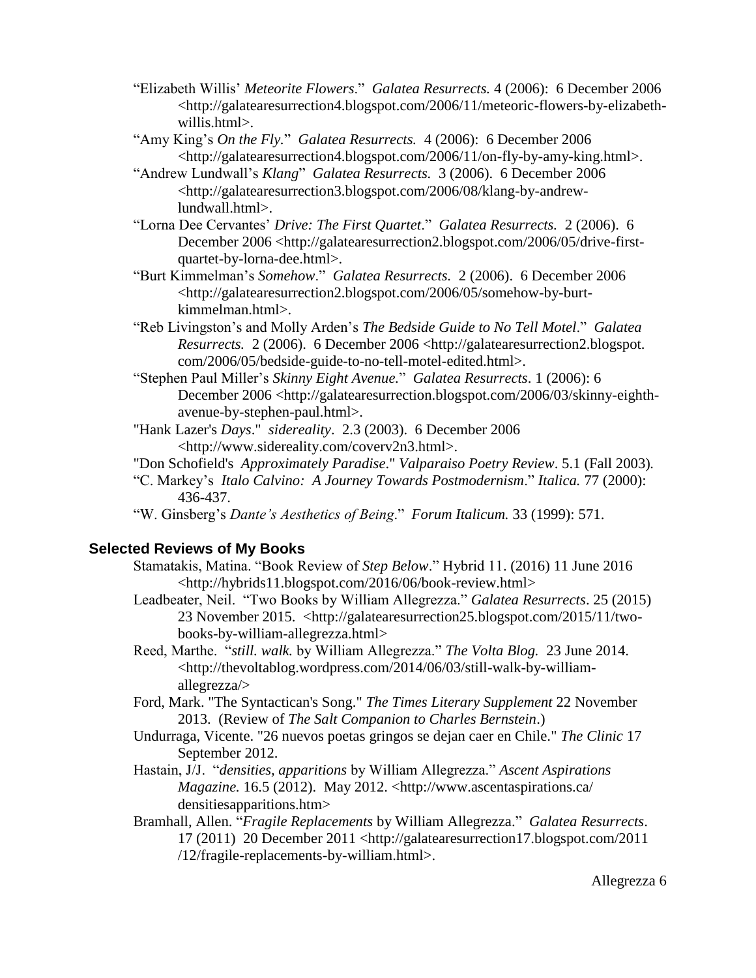- "Elizabeth Willis' *Meteorite Flowers*." *Galatea Resurrects.* 4 (2006): 6 December 2006 <http://galatearesurrection4.blogspot.com/2006/11/meteoric-flowers-by-elizabethwillis.html>.
- "Amy King's *On the Fly.*" *Galatea Resurrects.* 4 (2006): 6 December 2006 <http://galatearesurrection4.blogspot.com/2006/11/on-fly-by-amy-king.html>.
- "Andrew Lundwall's *Klang*" *Galatea Resurrects.* 3 (2006). 6 December 2006 <http://galatearesurrection3.blogspot.com/2006/08/klang-by-andrewlundwall.html>.
- "Lorna Dee Cervantes' *Drive: The First Quartet*." *Galatea Resurrects.* 2 (2006). 6 December 2006 <http://galatearesurrection2.blogspot.com/2006/05/drive-firstquartet-by-lorna-dee.html>.
- "Burt Kimmelman's *Somehow*." *Galatea Resurrects.* 2 (2006). 6 December 2006 <http://galatearesurrection2.blogspot.com/2006/05/somehow-by-burtkimmelman.html>.
- "Reb Livingston's and Molly Arden's *The Bedside Guide to No Tell Motel*." *Galatea Resurrects.* 2 (2006). 6 December 2006 <http://galatearesurrection2.blogspot. com/2006/05/bedside-guide-to-no-tell-motel-edited.html>.
- "Stephen Paul Miller's *Skinny Eight Avenue.*" *Galatea Resurrects*. 1 (2006): 6 December 2006 <http://galatearesurrection.blogspot.com/2006/03/skinny-eighthavenue-by-stephen-paul.html>.
- "Hank Lazer's *Days*." *sidereality*. 2.3 (2003). 6 December 2006 <http://www.sidereality.com/coverv2n3.html>.
- "Don Schofield's *Approximately Paradise*." *Valparaiso Poetry Review*. 5.1 (Fall 2003)*.*
- "C. Markey's *Italo Calvino: A Journey Towards Postmodernism*." *Italica.* 77 (2000): 436-437.
- "W. Ginsberg's *Dante's Aesthetics of Being*." *Forum Italicum.* 33 (1999): 571.

# **Selected Reviews of My Books**

- Stamatakis, Matina. "Book Review of *Step Below*." Hybrid 11. (2016) 11 June 2016 <http://hybrids11.blogspot.com/2016/06/book-review.html>
- Leadbeater, Neil. "Two Books by William Allegrezza." *Galatea Resurrects*. 25 (2015) 23 November 2015. <http://galatearesurrection25.blogspot.com/2015/11/twobooks-by-william-allegrezza.html>
- Reed, Marthe. "*still. walk.* by William Allegrezza." *The Volta Blog.* 23 June 2014. <http://thevoltablog.wordpress.com/2014/06/03/still-walk-by-williamallegrezza/>
- Ford, Mark. "The Syntactican's Song." *The Times Literary Supplement* 22 November 2013. (Review of *The Salt Companion to Charles Bernstein*.)
- Undurraga, Vicente. "26 nuevos poetas gringos se dejan caer en Chile." *The Clinic* 17 September 2012.
- Hastain, J/J. "*densities, apparitions* by William Allegrezza." *Ascent Aspirations Magazine.* 16.5 (2012). May 2012. <http://www.ascentaspirations.ca/ densitiesapparitions.htm>
- Bramhall, Allen. "*Fragile Replacements* by William Allegrezza." *Galatea Resurrects*. 17 (2011) 20 December 2011 <http://galatearesurrection17.blogspot.com/2011 /12/fragile-replacements-by-william.html>.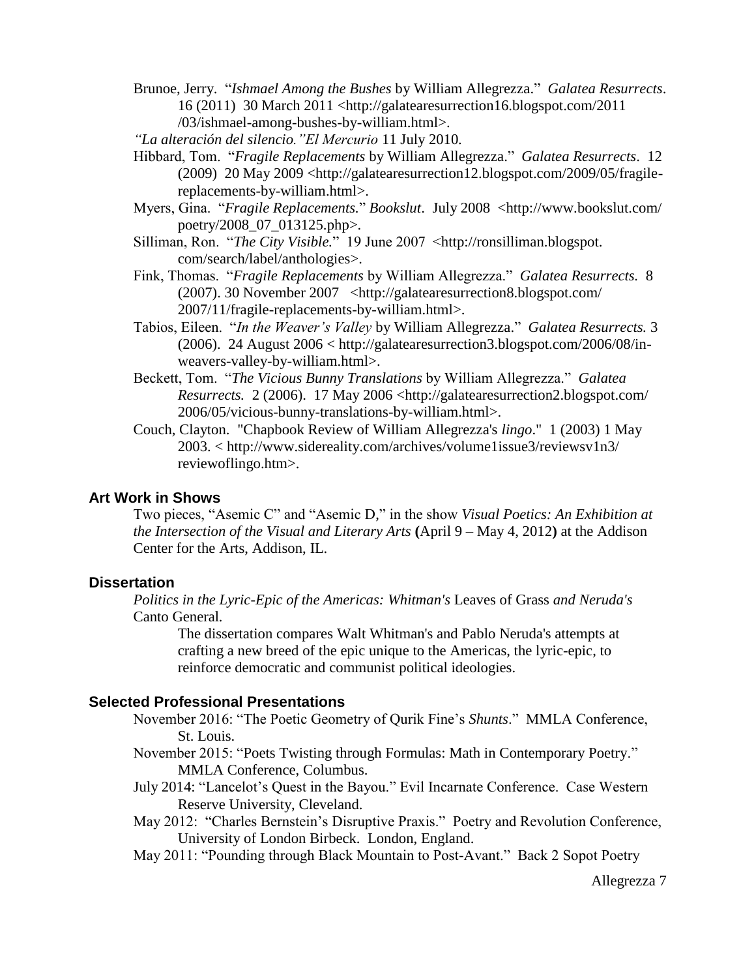- Brunoe, Jerry. "*Ishmael Among the Bushes* by William Allegrezza." *Galatea Resurrects*. 16 (2011) 30 March 2011 <http://galatearesurrection16.blogspot.com/2011 /03/ishmael-among-bushes-by-william.html>.
- *["La alteración del silencio.](http://buscador.emol.com/redirect.php?url=http%3A%2F%2Fdiario.elmercurio.com%2Fdetalle%2Findex.asp%3Fid%3D%7B76bb2c43-02c9-42c2-97aa-a8481547650b%7D)"El Mercurio* 11 July 2010*.*
- Hibbard, Tom. "*Fragile Replacements* by William Allegrezza." *Galatea Resurrects*. 12 (2009) 20 May 2009 <http://galatearesurrection12.blogspot.com/2009/05/fragilereplacements-by-william.html>.
- Myers, Gina. "*Fragile Replacements.*" *Bookslut*. July 2008 <http://www.bookslut.com/ poetry/2008\_07\_013125.php>.
- Silliman, Ron. "*The City Visible.*" 19 June 2007 <http://ronsilliman.blogspot. com/search/label/anthologies>.
- Fink, Thomas. "*Fragile Replacements* by William Allegrezza." *Galatea Resurrects.* 8 (2007). 30 November 2007 <http://galatearesurrection8.blogspot.com/ 2007/11/fragile-replacements-by-william.html>.
- Tabios, Eileen. "*In the Weaver's Valley* by William Allegrezza." *Galatea Resurrects.* 3 (2006). 24 August 2006 < [http://galatearesurrection3.blogspot.com/2006/08/in](http://galatearesurrection3.blogspot.com/2006/08/in-weavers-valley-by-william.html)[weavers-valley-by-william.html>](http://galatearesurrection3.blogspot.com/2006/08/in-weavers-valley-by-william.html).
- Beckett, Tom. "*The Vicious Bunny Translations* by William Allegrezza." *Galatea Resurrects.* 2 (2006). 17 May 2006 <http://galatearesurrection2.blogspot.com/ 2006/05/vicious-bunny-translations-by-william.html>.
- Couch, Clayton. "Chapbook Review of William Allegrezza's *lingo*." 1 (2003) 1 May 2003. < <http://www.sidereality.com/archives/volume1issue3/reviewsv1n3/> reviewoflingo.htm>.

## **Art Work in Shows**

Two pieces, "Asemic C" and "Asemic D," in the show *Visual Poetics: An Exhibition at the Intersection of the Visual and Literary Arts* **(**April 9 – May 4, 2012**)** at the Addison Center for the Arts, Addison, IL.

## **Dissertation**

*Politics in the Lyric-Epic of the Americas: Whitman's* Leaves of Grass *and Neruda's* Canto General*.*

The dissertation compares Walt Whitman's and Pablo Neruda's attempts at crafting a new breed of the epic unique to the Americas, the lyric-epic, to reinforce democratic and communist political ideologies.

## **Selected Professional Presentations**

- November 2016: "The Poetic Geometry of Qurik Fine's *Shunts*." MMLA Conference, St. Louis.
- November 2015: "Poets Twisting through Formulas: Math in Contemporary Poetry." MMLA Conference, Columbus.
- July 2014: "Lancelot's Quest in the Bayou." Evil Incarnate Conference. Case Western Reserve University, Cleveland.
- May 2012: "Charles Bernstein's Disruptive Praxis." Poetry and Revolution Conference, University of London Birbeck. London, England.
- May 2011: "Pounding through Black Mountain to Post-Avant." Back 2 Sopot Poetry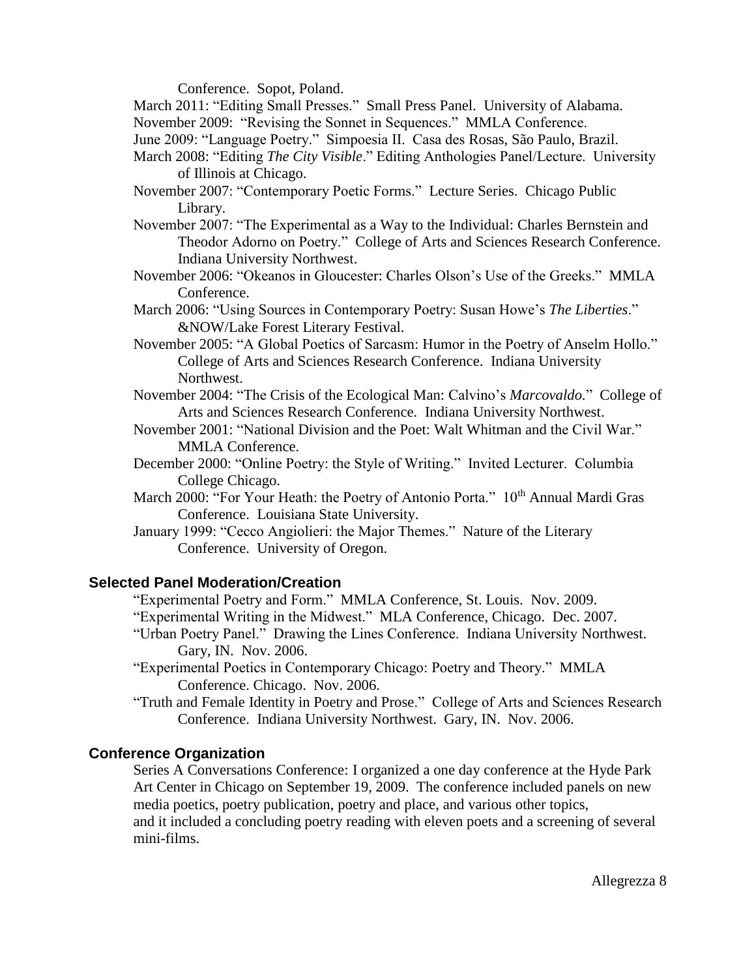Conference. Sopot, Poland.

March 2011: "Editing Small Presses." Small Press Panel. University of Alabama.

November 2009: "Revising the Sonnet in Sequences." MMLA Conference.

- June 2009: "Language Poetry." Simpoesia II. Casa des Rosas, São Paulo, Brazil.
- March 2008: "Editing *The City Visible*." Editing Anthologies Panel/Lecture. University of Illinois at Chicago.
- November 2007: "Contemporary Poetic Forms." Lecture Series. Chicago Public Library.
- November 2007: "The Experimental as a Way to the Individual: Charles Bernstein and Theodor Adorno on Poetry." College of Arts and Sciences Research Conference. Indiana University Northwest.
- November 2006: "Okeanos in Gloucester: Charles Olson's Use of the Greeks." MMLA Conference.
- March 2006: "Using Sources in Contemporary Poetry: Susan Howe's *The Liberties*." &NOW/Lake Forest Literary Festival.
- November 2005: "A Global Poetics of Sarcasm: Humor in the Poetry of Anselm Hollo." College of Arts and Sciences Research Conference. Indiana University Northwest.
- November 2004: "The Crisis of the Ecological Man: Calvino's *Marcovaldo.*" College of Arts and Sciences Research Conference. Indiana University Northwest.
- November 2001: "National Division and the Poet: Walt Whitman and the Civil War." MMLA Conference.
- December 2000: "Online Poetry: the Style of Writing." Invited Lecturer. Columbia College Chicago.
- March 2000: "For Your Heath: the Poetry of Antonio Porta." 10<sup>th</sup> Annual Mardi Gras Conference. Louisiana State University.
- January 1999: "Cecco Angiolieri: the Major Themes." Nature of the Literary Conference. University of Oregon.

# **Selected Panel Moderation/Creation**

- "Experimental Poetry and Form." MMLA Conference, St. Louis. Nov. 2009.
- "Experimental Writing in the Midwest." MLA Conference, Chicago. Dec. 2007.
- "Urban Poetry Panel." Drawing the Lines Conference. Indiana University Northwest. Gary, IN. Nov. 2006.
- "Experimental Poetics in Contemporary Chicago: Poetry and Theory." MMLA Conference. Chicago. Nov. 2006.
- "Truth and Female Identity in Poetry and Prose." College of Arts and Sciences Research Conference. Indiana University Northwest. Gary, IN. Nov. 2006.

# **Conference Organization**

Series A Conversations Conference: I organized a one day conference at the Hyde Park Art Center in Chicago on September 19, 2009. The conference included panels on new media poetics, poetry publication, poetry and place, and various other topics, and it included a concluding poetry reading with eleven poets and a screening of several mini-films.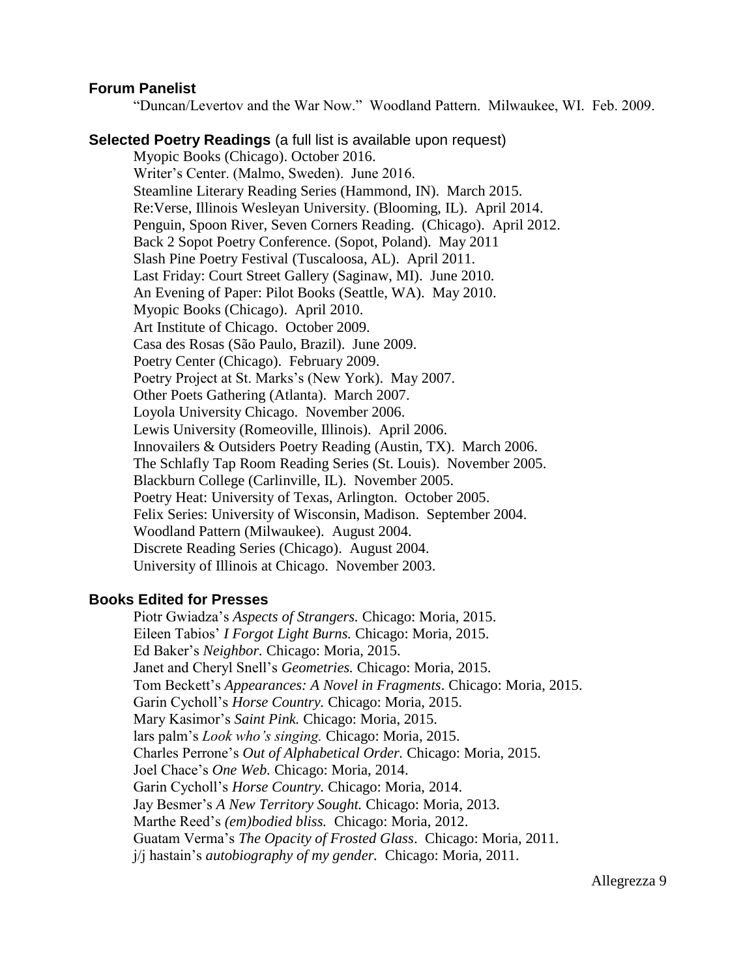#### **Forum Panelist**

"Duncan/Levertov and the War Now." Woodland Pattern. Milwaukee, WI. Feb. 2009.

#### **Selected Poetry Readings** (a full list is available upon request)

Myopic Books (Chicago). October 2016. Writer's Center. (Malmo, Sweden). June 2016. Steamline Literary Reading Series (Hammond, IN). March 2015. Re:Verse, Illinois Wesleyan University. (Blooming, IL). April 2014. Penguin, Spoon River, Seven Corners Reading. (Chicago). April 2012. Back 2 Sopot Poetry Conference. (Sopot, Poland). May 2011 Slash Pine Poetry Festival (Tuscaloosa, AL). April 2011. Last Friday: Court Street Gallery (Saginaw, MI). June 2010. An Evening of Paper: Pilot Books (Seattle, WA). May 2010. Myopic Books (Chicago). April 2010. Art Institute of Chicago. October 2009. Casa des Rosas (São Paulo, Brazil). June 2009. Poetry Center (Chicago). February 2009. Poetry Project at St. Marks's (New York). May 2007. Other Poets Gathering (Atlanta). March 2007. Loyola University Chicago. November 2006. Lewis University (Romeoville, Illinois). April 2006. Innovailers & Outsiders Poetry Reading (Austin, TX). March 2006. The Schlafly Tap Room Reading Series (St. Louis). November 2005. Blackburn College (Carlinville, IL). November 2005. Poetry Heat: University of Texas, Arlington. October 2005. Felix Series: University of Wisconsin, Madison. September 2004. Woodland Pattern (Milwaukee). August 2004. Discrete Reading Series (Chicago). August 2004. University of Illinois at Chicago. November 2003.

#### **Books Edited for Presses**

Piotr Gwiadza's *Aspects of Strangers.* Chicago: Moria, 2015. Eileen Tabios' *I Forgot Light Burns.* Chicago: Moria, 2015. Ed Baker's *Neighbor.* Chicago: Moria, 2015. Janet and Cheryl Snell's *Geometries.* Chicago: Moria, 2015. Tom Beckett's *Appearances: A Novel in Fragments*. Chicago: Moria, 2015. Garin Cycholl's *Horse Country.* Chicago: Moria, 2015. Mary Kasimor's *Saint Pink.* Chicago: Moria, 2015. lars palm's *Look who's singing.* Chicago: Moria, 2015. Charles Perrone's *Out of Alphabetical Order.* Chicago: Moria, 2015. Joel Chace's *One Web.* Chicago: Moria, 2014. Garin Cycholl's *Horse Country.* Chicago: Moria, 2014. Jay Besmer's *A New Territory Sought.* Chicago: Moria, 2013. Marthe Reed's *(em)bodied bliss.* Chicago: Moria, 2012. Guatam Verma's *The Opacity of Frosted Glass*. Chicago: Moria, 2011. j/j hastain's *autobiography of my gender.* Chicago: Moria, 2011.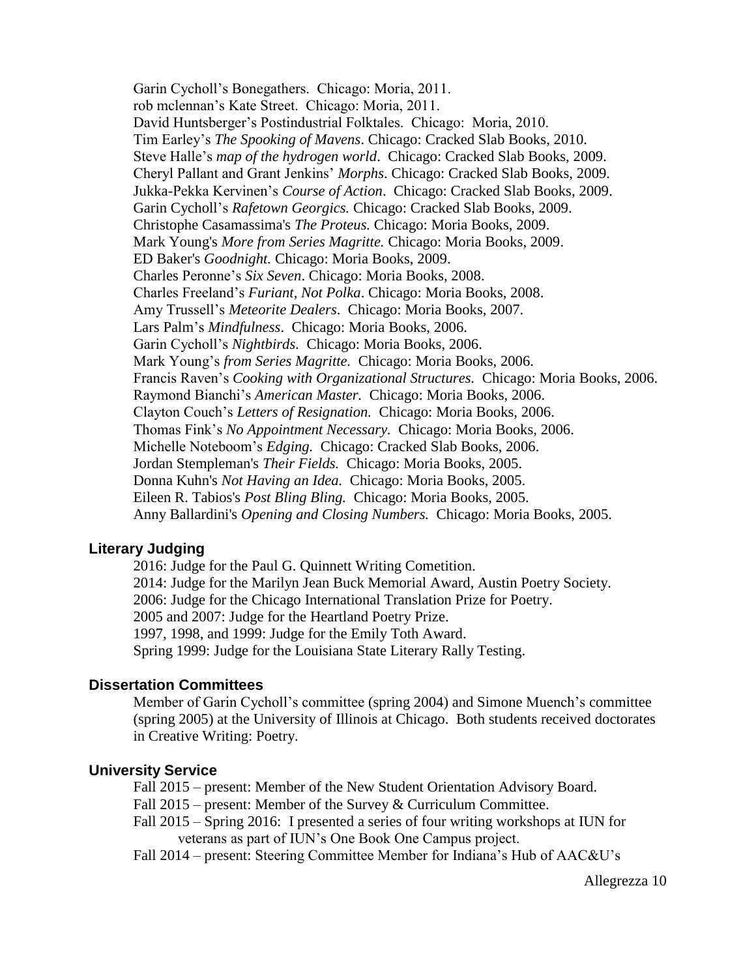Garin Cycholl's Bonegathers. Chicago: Moria, 2011. rob mclennan's Kate Street. Chicago: Moria, 2011. David Huntsberger's Postindustrial Folktales. Chicago: Moria, 2010. Tim Earley's *The Spooking of Mavens*. Chicago: Cracked Slab Books, 2010. Steve Halle's *map of the hydrogen world*. Chicago: Cracked Slab Books, 2009. Cheryl Pallant and Grant Jenkins' *Morphs*. Chicago: Cracked Slab Books, 2009. Jukka-Pekka Kervinen's *Course of Action*. Chicago: Cracked Slab Books, 2009. Garin Cycholl's *Rafetown Georgics.* Chicago: Cracked Slab Books, 2009. Christophe Casamassima's *The Proteus.* Chicago: Moria Books, 2009. Mark Young's *More from Series Magritte.* Chicago: Moria Books, 2009. ED Baker's *Goodnight.* Chicago: Moria Books, 2009. Charles Peronne's *Six Seven*. Chicago: Moria Books, 2008. Charles Freeland's *Furiant, Not Polka*. Chicago: Moria Books, 2008. Amy Trussell's *Meteorite Dealers*. Chicago: Moria Books, 2007. Lars Palm's *Mindfulness*. Chicago: Moria Books, 2006. Garin Cycholl's *Nightbirds.* Chicago: Moria Books, 2006. Mark Young's *from Series Magritte.* Chicago: Moria Books, 2006. Francis Raven's *Cooking with Organizational Structures.* Chicago: Moria Books, 2006. Raymond Bianchi's *American Master.* Chicago: Moria Books, 2006. Clayton Couch's *Letters of Resignation.* Chicago: Moria Books, 2006. Thomas Fink's *No Appointment Necessary.* Chicago: Moria Books, 2006. Michelle Noteboom's *Edging.* Chicago: Cracked Slab Books, 2006. Jordan Stempleman's *Their Fields.* Chicago: Moria Books, 2005. Donna Kuhn's *Not Having an Idea.* Chicago: Moria Books, 2005. Eileen R. Tabios's *Post Bling Bling.* Chicago: Moria Books, 2005. Anny Ballardini's *Opening and Closing Numbers.* Chicago: Moria Books, 2005.

## **Literary Judging**

2016: Judge for the Paul G. Quinnett Writing Cometition. 2014: Judge for the Marilyn Jean Buck Memorial Award, Austin Poetry Society. 2006: Judge for the Chicago International Translation Prize for Poetry. 2005 and 2007: Judge for the Heartland Poetry Prize. 1997, 1998, and 1999: Judge for the Emily Toth Award. Spring 1999: Judge for the Louisiana State Literary Rally Testing.

#### **Dissertation Committees**

Member of Garin Cycholl's committee (spring 2004) and Simone Muench's committee (spring 2005) at the University of Illinois at Chicago. Both students received doctorates in Creative Writing: Poetry.

#### **University Service**

Fall 2015 – present: Member of the New Student Orientation Advisory Board.

Fall 2015 – present: Member of the Survey & Curriculum Committee.

Fall 2015 – Spring 2016: I presented a series of four writing workshops at IUN for veterans as part of IUN's One Book One Campus project.

Fall 2014 – present: Steering Committee Member for Indiana's Hub of AAC&U's

Allegrezza 10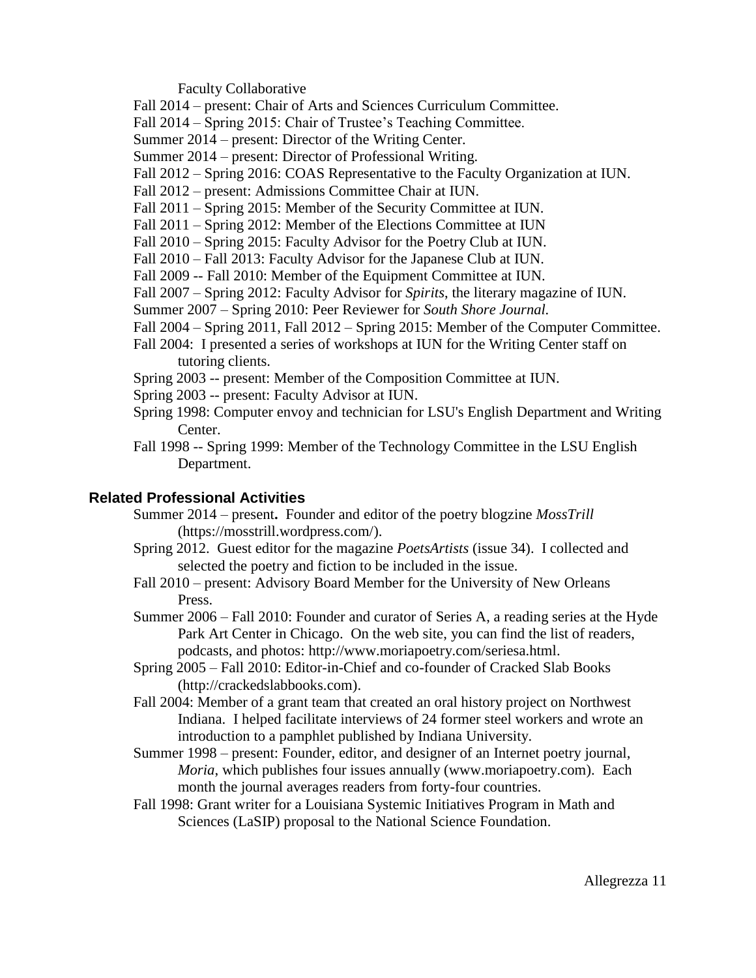Faculty Collaborative

Fall 2014 – present: Chair of Arts and Sciences Curriculum Committee.

Fall 2014 – Spring 2015: Chair of Trustee's Teaching Committee.

Summer 2014 – present: Director of the Writing Center.

Summer 2014 – present: Director of Professional Writing.

Fall 2012 – Spring 2016: COAS Representative to the Faculty Organization at IUN.

Fall 2012 – present: Admissions Committee Chair at IUN.

Fall 2011 – Spring 2015: Member of the Security Committee at IUN.

Fall 2011 – Spring 2012: Member of the Elections Committee at IUN

Fall 2010 – Spring 2015: Faculty Advisor for the Poetry Club at IUN.

Fall 2010 – Fall 2013: Faculty Advisor for the Japanese Club at IUN.

Fall 2009 -- Fall 2010: Member of the Equipment Committee at IUN.

Fall 2007 – Spring 2012: Faculty Advisor for *Spirits*, the literary magazine of IUN.

Summer 2007 – Spring 2010: Peer Reviewer for *South Shore Journal.*

Fall 2004 – Spring 2011, Fall 2012 – Spring 2015: Member of the Computer Committee.

Fall 2004: I presented a series of workshops at IUN for the Writing Center staff on tutoring clients.

Spring 2003 -- present: Member of the Composition Committee at IUN.

Spring 2003 -- present: Faculty Advisor at IUN.

- Spring 1998: Computer envoy and technician for LSU's English Department and Writing Center.
- Fall 1998 -- Spring 1999: Member of the Technology Committee in the LSU English Department.

## **Related Professional Activities**

- Summer 2014 present**.** Founder and editor of the poetry blogzine *MossTrill* (https://mosstrill.wordpress.com/).
- Spring 2012. Guest editor for the magazine *PoetsArtists* (issue 34). I collected and selected the poetry and fiction to be included in the issue.
- Fall 2010 present: Advisory Board Member for the University of New Orleans Press.
- Summer 2006 Fall 2010: Founder and curator of Series A, a reading series at the Hyde Park Art Center in Chicago. On the web site, you can find the list of readers, podcasts, and photos: http://www.moriapoetry.com/seriesa.html.
- Spring 2005 Fall 2010: Editor-in-Chief and co-founder of Cracked Slab Books (http://crackedslabbooks.com).
- Fall 2004: Member of a grant team that created an oral history project on Northwest Indiana. I helped facilitate interviews of 24 former steel workers and wrote an introduction to a pamphlet published by Indiana University.
- Summer 1998 present: Founder, editor, and designer of an Internet poetry journal, *Moria*, which publishes four issues annually (www.moriapoetry.com). Each month the journal averages readers from forty-four countries.
- Fall 1998: Grant writer for a Louisiana Systemic Initiatives Program in Math and Sciences (LaSIP) proposal to the National Science Foundation.